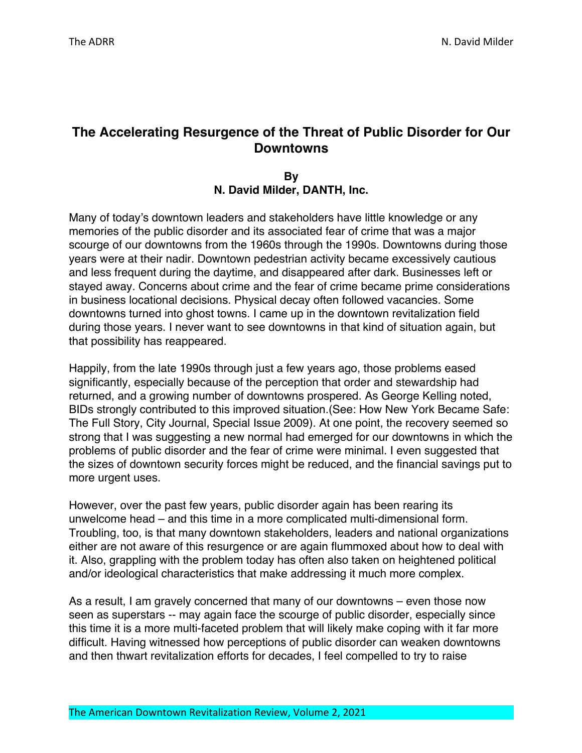# **The Accelerating Resurgence of the Threat of Public Disorder for Our Downtowns**

### **By N. David Milder, DANTH, Inc.**

Many of today's downtown leaders and stakeholders have little knowledge or any memories of the public disorder and its associated fear of crime that was a major scourge of our downtowns from the 1960s through the 1990s. Downtowns during those years were at their nadir. Downtown pedestrian activity became excessively cautious and less frequent during the daytime, and disappeared after dark. Businesses left or stayed away. Concerns about crime and the fear of crime became prime considerations in business locational decisions. Physical decay often followed vacancies. Some downtowns turned into ghost towns. I came up in the downtown revitalization field during those years. I never want to see downtowns in that kind of situation again, but that possibility has reappeared.

Happily, from the late 1990s through just a few years ago, those problems eased significantly, especially because of the perception that order and stewardship had returned, and a growing number of downtowns prospered. As George Kelling noted, BIDs strongly contributed to this improved situation.(See: How New York Became Safe: The Full Story, City Journal, Special Issue 2009). At one point, the recovery seemed so strong that I was suggesting a new normal had emerged for our downtowns in which the problems of public disorder and the fear of crime were minimal. I even suggested that the sizes of downtown security forces might be reduced, and the financial savings put to more urgent uses.

However, over the past few years, public disorder again has been rearing its unwelcome head – and this time in a more complicated multi-dimensional form. Troubling, too, is that many downtown stakeholders, leaders and national organizations either are not aware of this resurgence or are again flummoxed about how to deal with it. Also, grappling with the problem today has often also taken on heightened political and/or ideological characteristics that make addressing it much more complex.

As a result, I am gravely concerned that many of our downtowns – even those now seen as superstars -- may again face the scourge of public disorder, especially since this time it is a more multi-faceted problem that will likely make coping with it far more difficult. Having witnessed how perceptions of public disorder can weaken downtowns and then thwart revitalization efforts for decades, I feel compelled to try to raise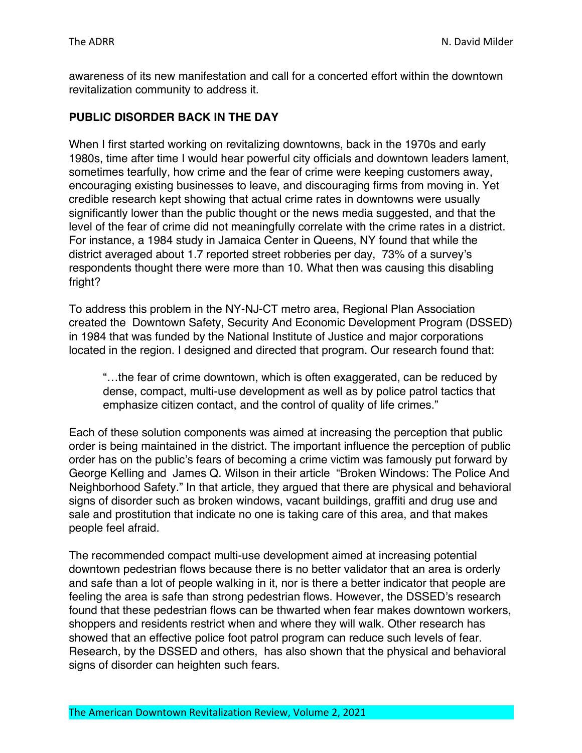awareness of its new manifestation and call for a concerted effort within the downtown revitalization community to address it.

## **PUBLIC DISORDER BACK IN THE DAY**

When I first started working on revitalizing downtowns, back in the 1970s and early 1980s, time after time I would hear powerful city officials and downtown leaders lament, sometimes tearfully, how crime and the fear of crime were keeping customers away, encouraging existing businesses to leave, and discouraging firms from moving in. Yet credible research kept showing that actual crime rates in downtowns were usually significantly lower than the public thought or the news media suggested, and that the level of the fear of crime did not meaningfully correlate with the crime rates in a district. For instance, a 1984 study in Jamaica Center in Queens, NY found that while the district averaged about 1.7 reported street robberies per day, 73% of a survey's respondents thought there were more than 10. What then was causing this disabling fright?

To address this problem in the NY-NJ-CT metro area, Regional Plan Association created the Downtown Safety, Security And Economic Development Program (DSSED) in 1984 that was funded by the National Institute of Justice and major corporations located in the region. I designed and directed that program. Our research found that:

"…the fear of crime downtown, which is often exaggerated, can be reduced by dense, compact, multi-use development as well as by police patrol tactics that emphasize citizen contact, and the control of quality of life crimes."

Each of these solution components was aimed at increasing the perception that public order is being maintained in the district. The important influence the perception of public order has on the public's fears of becoming a crime victim was famously put forward by George Kelling and James Q. Wilson in their article "Broken Windows: The Police And Neighborhood Safety." In that article, they argued that there are physical and behavioral signs of disorder such as broken windows, vacant buildings, graffiti and drug use and sale and prostitution that indicate no one is taking care of this area, and that makes people feel afraid.

The recommended compact multi-use development aimed at increasing potential downtown pedestrian flows because there is no better validator that an area is orderly and safe than a lot of people walking in it, nor is there a better indicator that people are feeling the area is safe than strong pedestrian flows. However, the DSSED's research found that these pedestrian flows can be thwarted when fear makes downtown workers, shoppers and residents restrict when and where they will walk. Other research has showed that an effective police foot patrol program can reduce such levels of fear. Research, by the DSSED and others, has also shown that the physical and behavioral signs of disorder can heighten such fears.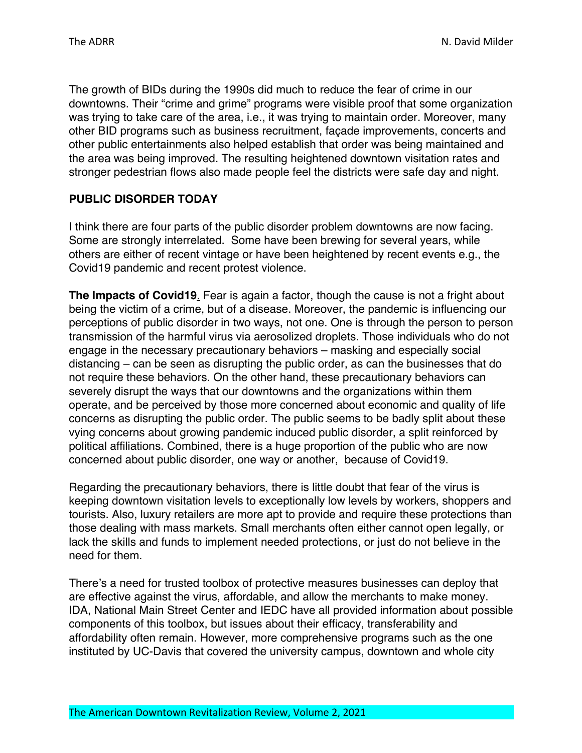The growth of BIDs during the 1990s did much to reduce the fear of crime in our downtowns. Their "crime and grime" programs were visible proof that some organization was trying to take care of the area, i.e., it was trying to maintain order. Moreover, many other BID programs such as business recruitment, façade improvements, concerts and other public entertainments also helped establish that order was being maintained and the area was being improved. The resulting heightened downtown visitation rates and stronger pedestrian flows also made people feel the districts were safe day and night.

# **PUBLIC DISORDER TODAY**

I think there are four parts of the public disorder problem downtowns are now facing. Some are strongly interrelated. Some have been brewing for several years, while others are either of recent vintage or have been heightened by recent events e.g., the Covid19 pandemic and recent protest violence.

**The Impacts of Covid19**. Fear is again a factor, though the cause is not a fright about being the victim of a crime, but of a disease. Moreover, the pandemic is influencing our perceptions of public disorder in two ways, not one. One is through the person to person transmission of the harmful virus via aerosolized droplets. Those individuals who do not engage in the necessary precautionary behaviors – masking and especially social distancing – can be seen as disrupting the public order, as can the businesses that do not require these behaviors. On the other hand, these precautionary behaviors can severely disrupt the ways that our downtowns and the organizations within them operate, and be perceived by those more concerned about economic and quality of life concerns as disrupting the public order. The public seems to be badly split about these vying concerns about growing pandemic induced public disorder, a split reinforced by political affiliations. Combined, there is a huge proportion of the public who are now concerned about public disorder, one way or another, because of Covid19.

Regarding the precautionary behaviors, there is little doubt that fear of the virus is keeping downtown visitation levels to exceptionally low levels by workers, shoppers and tourists. Also, luxury retailers are more apt to provide and require these protections than those dealing with mass markets. Small merchants often either cannot open legally, or lack the skills and funds to implement needed protections, or just do not believe in the need for them.

There's a need for trusted toolbox of protective measures businesses can deploy that are effective against the virus, affordable, and allow the merchants to make money. IDA, National Main Street Center and IEDC have all provided information about possible components of this toolbox, but issues about their efficacy, transferability and affordability often remain. However, more comprehensive programs such as the one instituted by UC-Davis that covered the university campus, downtown and whole city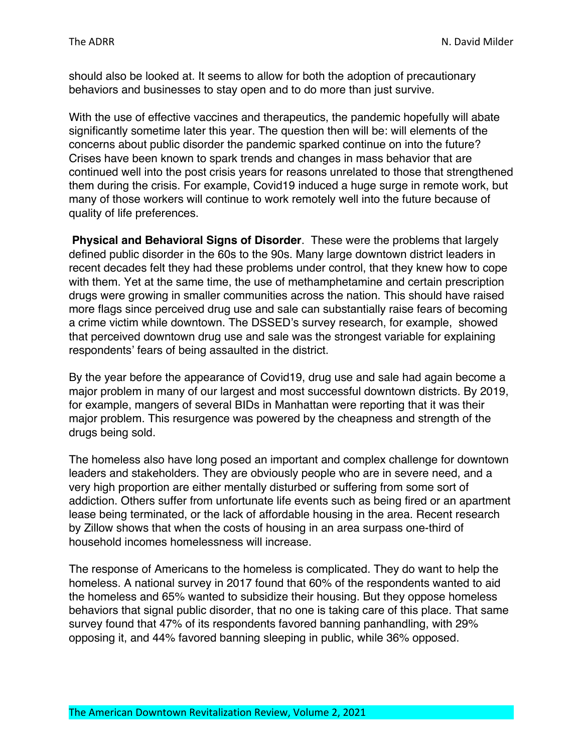should also be looked at. It seems to allow for both the adoption of precautionary behaviors and businesses to stay open and to do more than just survive.

With the use of effective vaccines and therapeutics, the pandemic hopefully will abate significantly sometime later this year. The question then will be: will elements of the concerns about public disorder the pandemic sparked continue on into the future? Crises have been known to spark trends and changes in mass behavior that are continued well into the post crisis years for reasons unrelated to those that strengthened them during the crisis. For example, Covid19 induced a huge surge in remote work, but many of those workers will continue to work remotely well into the future because of quality of life preferences.

**Physical and Behavioral Signs of Disorder**. These were the problems that largely defined public disorder in the 60s to the 90s. Many large downtown district leaders in recent decades felt they had these problems under control, that they knew how to cope with them. Yet at the same time, the use of methamphetamine and certain prescription drugs were growing in smaller communities across the nation. This should have raised more flags since perceived drug use and sale can substantially raise fears of becoming a crime victim while downtown. The DSSED's survey research, for example, showed that perceived downtown drug use and sale was the strongest variable for explaining respondents' fears of being assaulted in the district.

By the year before the appearance of Covid19, drug use and sale had again become a major problem in many of our largest and most successful downtown districts. By 2019, for example, mangers of several BIDs in Manhattan were reporting that it was their major problem. This resurgence was powered by the cheapness and strength of the drugs being sold.

The homeless also have long posed an important and complex challenge for downtown leaders and stakeholders. They are obviously people who are in severe need, and a very high proportion are either mentally disturbed or suffering from some sort of addiction. Others suffer from unfortunate life events such as being fired or an apartment lease being terminated, or the lack of affordable housing in the area. Recent research by Zillow shows that when the costs of housing in an area surpass one-third of household incomes homelessness will increase.

The response of Americans to the homeless is complicated. They do want to help the homeless. A national survey in 2017 found that 60% of the respondents wanted to aid the homeless and 65% wanted to subsidize their housing. But they oppose homeless behaviors that signal public disorder, that no one is taking care of this place. That same survey found that 47% of its respondents favored banning panhandling, with 29% opposing it, and 44% favored banning sleeping in public, while 36% opposed.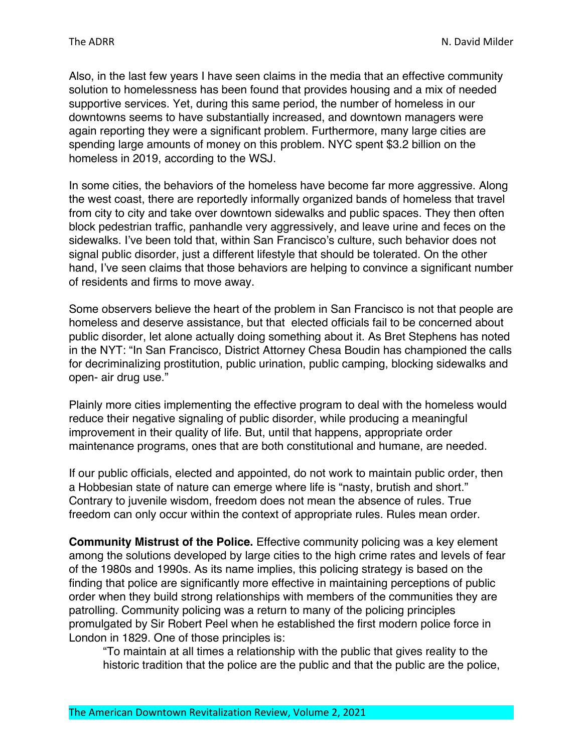Also, in the last few years I have seen claims in the media that an effective community solution to homelessness has been found that provides housing and a mix of needed supportive services. Yet, during this same period, the number of homeless in our downtowns seems to have substantially increased, and downtown managers were again reporting they were a significant problem. Furthermore, many large cities are spending large amounts of money on this problem. NYC spent \$3.2 billion on the homeless in 2019, according to the WSJ.

In some cities, the behaviors of the homeless have become far more aggressive. Along the west coast, there are reportedly informally organized bands of homeless that travel from city to city and take over downtown sidewalks and public spaces. They then often block pedestrian traffic, panhandle very aggressively, and leave urine and feces on the sidewalks. I've been told that, within San Francisco's culture, such behavior does not signal public disorder, just a different lifestyle that should be tolerated. On the other hand, I've seen claims that those behaviors are helping to convince a significant number of residents and firms to move away.

Some observers believe the heart of the problem in San Francisco is not that people are homeless and deserve assistance, but that elected officials fail to be concerned about public disorder, let alone actually doing something about it. As Bret Stephens has noted in the NYT: "In San Francisco, District Attorney Chesa Boudin has championed the calls for decriminalizing prostitution, public urination, public camping, blocking sidewalks and open- air drug use."

Plainly more cities implementing the effective program to deal with the homeless would reduce their negative signaling of public disorder, while producing a meaningful improvement in their quality of life. But, until that happens, appropriate order maintenance programs, ones that are both constitutional and humane, are needed.

If our public officials, elected and appointed, do not work to maintain public order, then a Hobbesian state of nature can emerge where life is "nasty, brutish and short." Contrary to juvenile wisdom, freedom does not mean the absence of rules. True freedom can only occur within the context of appropriate rules. Rules mean order.

**Community Mistrust of the Police.** Effective community policing was a key element among the solutions developed by large cities to the high crime rates and levels of fear of the 1980s and 1990s. As its name implies, this policing strategy is based on the finding that police are significantly more effective in maintaining perceptions of public order when they build strong relationships with members of the communities they are patrolling. Community policing was a return to many of the policing principles promulgated by Sir Robert Peel when he established the first modern police force in London in 1829. One of those principles is:

"To maintain at all times a relationship with the public that gives reality to the historic tradition that the police are the public and that the public are the police,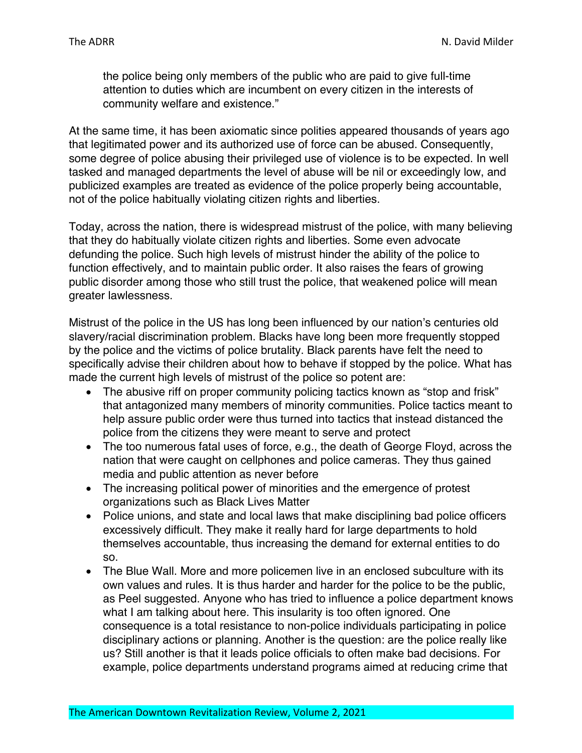the police being only members of the public who are paid to give full-time attention to duties which are incumbent on every citizen in the interests of community welfare and existence."

At the same time, it has been axiomatic since polities appeared thousands of years ago that legitimated power and its authorized use of force can be abused. Consequently, some degree of police abusing their privileged use of violence is to be expected. In well tasked and managed departments the level of abuse will be nil or exceedingly low, and publicized examples are treated as evidence of the police properly being accountable, not of the police habitually violating citizen rights and liberties.

Today, across the nation, there is widespread mistrust of the police, with many believing that they do habitually violate citizen rights and liberties. Some even advocate defunding the police. Such high levels of mistrust hinder the ability of the police to function effectively, and to maintain public order. It also raises the fears of growing public disorder among those who still trust the police, that weakened police will mean greater lawlessness.

Mistrust of the police in the US has long been influenced by our nation's centuries old slavery/racial discrimination problem. Blacks have long been more frequently stopped by the police and the victims of police brutality. Black parents have felt the need to specifically advise their children about how to behave if stopped by the police. What has made the current high levels of mistrust of the police so potent are:

- The abusive riff on proper community policing tactics known as "stop and frisk" that antagonized many members of minority communities. Police tactics meant to help assure public order were thus turned into tactics that instead distanced the police from the citizens they were meant to serve and protect
- The too numerous fatal uses of force, e.g., the death of George Floyd, across the nation that were caught on cellphones and police cameras. They thus gained media and public attention as never before
- The increasing political power of minorities and the emergence of protest organizations such as Black Lives Matter
- Police unions, and state and local laws that make disciplining bad police officers excessively difficult. They make it really hard for large departments to hold themselves accountable, thus increasing the demand for external entities to do so.
- The Blue Wall. More and more policemen live in an enclosed subculture with its own values and rules. It is thus harder and harder for the police to be the public, as Peel suggested. Anyone who has tried to influence a police department knows what I am talking about here. This insularity is too often ignored. One consequence is a total resistance to non-police individuals participating in police disciplinary actions or planning. Another is the question: are the police really like us? Still another is that it leads police officials to often make bad decisions. For example, police departments understand programs aimed at reducing crime that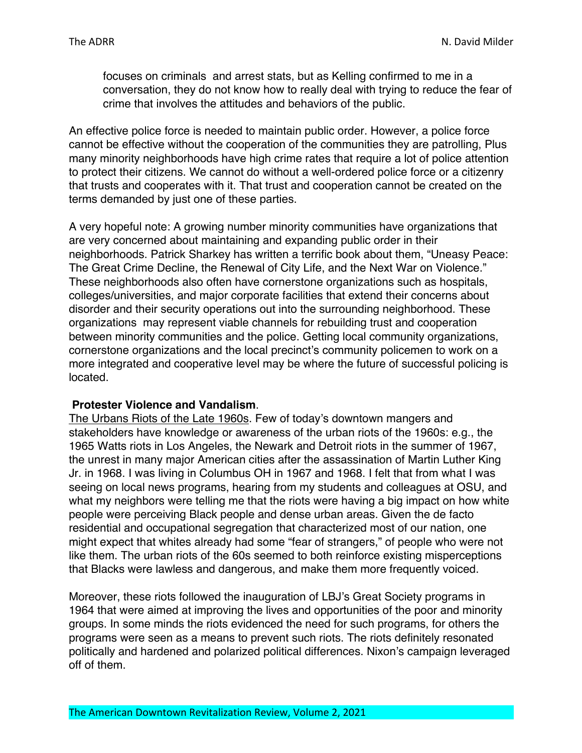focuses on criminals and arrest stats, but as Kelling confirmed to me in a conversation, they do not know how to really deal with trying to reduce the fear of crime that involves the attitudes and behaviors of the public.

An effective police force is needed to maintain public order. However, a police force cannot be effective without the cooperation of the communities they are patrolling, Plus many minority neighborhoods have high crime rates that require a lot of police attention to protect their citizens. We cannot do without a well-ordered police force or a citizenry that trusts and cooperates with it. That trust and cooperation cannot be created on the terms demanded by just one of these parties.

A very hopeful note: A growing number minority communities have organizations that are very concerned about maintaining and expanding public order in their neighborhoods. Patrick Sharkey has written a terrific book about them, "Uneasy Peace: The Great Crime Decline, the Renewal of City Life, and the Next War on Violence." These neighborhoods also often have cornerstone organizations such as hospitals, colleges/universities, and major corporate facilities that extend their concerns about disorder and their security operations out into the surrounding neighborhood. These organizations may represent viable channels for rebuilding trust and cooperation between minority communities and the police. Getting local community organizations, cornerstone organizations and the local precinct's community policemen to work on a more integrated and cooperative level may be where the future of successful policing is located.

#### **Protester Violence and Vandalism**.

The Urbans Riots of the Late 1960s. Few of today's downtown mangers and stakeholders have knowledge or awareness of the urban riots of the 1960s: e.g., the 1965 Watts riots in Los Angeles, the Newark and Detroit riots in the summer of 1967, the unrest in many major American cities after the assassination of Martin Luther King Jr. in 1968. I was living in Columbus OH in 1967 and 1968. I felt that from what I was seeing on local news programs, hearing from my students and colleagues at OSU, and what my neighbors were telling me that the riots were having a big impact on how white people were perceiving Black people and dense urban areas. Given the de facto residential and occupational segregation that characterized most of our nation, one might expect that whites already had some "fear of strangers," of people who were not like them. The urban riots of the 60s seemed to both reinforce existing misperceptions that Blacks were lawless and dangerous, and make them more frequently voiced.

Moreover, these riots followed the inauguration of LBJ's Great Society programs in 1964 that were aimed at improving the lives and opportunities of the poor and minority groups. In some minds the riots evidenced the need for such programs, for others the programs were seen as a means to prevent such riots. The riots definitely resonated politically and hardened and polarized political differences. Nixon's campaign leveraged off of them.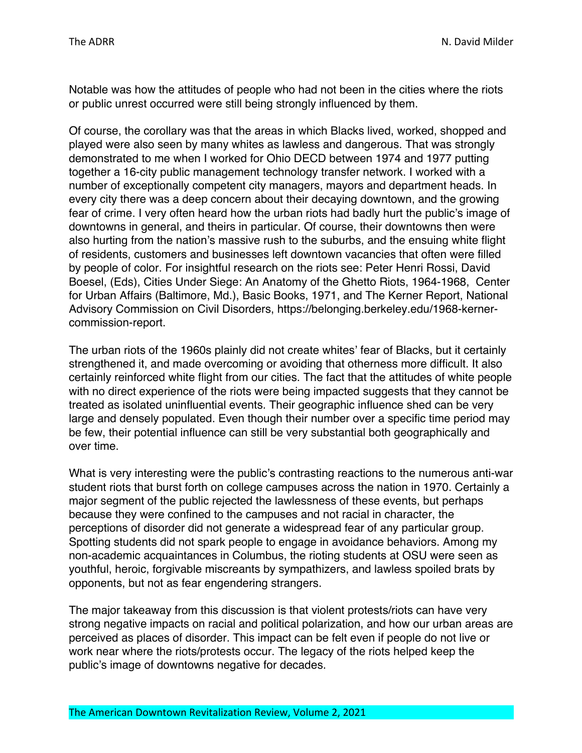Notable was how the attitudes of people who had not been in the cities where the riots or public unrest occurred were still being strongly influenced by them.

Of course, the corollary was that the areas in which Blacks lived, worked, shopped and played were also seen by many whites as lawless and dangerous. That was strongly demonstrated to me when I worked for Ohio DECD between 1974 and 1977 putting together a 16-city public management technology transfer network. I worked with a number of exceptionally competent city managers, mayors and department heads. In every city there was a deep concern about their decaying downtown, and the growing fear of crime. I very often heard how the urban riots had badly hurt the public's image of downtowns in general, and theirs in particular. Of course, their downtowns then were also hurting from the nation's massive rush to the suburbs, and the ensuing white flight of residents, customers and businesses left downtown vacancies that often were filled by people of color. For insightful research on the riots see: Peter Henri Rossi, David Boesel, (Eds), Cities Under Siege: An Anatomy of the Ghetto Riots, 1964-1968, Center for Urban Affairs (Baltimore, Md.), Basic Books, 1971, and The Kerner Report, National Advisory Commission on Civil Disorders, https://belonging.berkeley.edu/1968-kernercommission-report.

The urban riots of the 1960s plainly did not create whites' fear of Blacks, but it certainly strengthened it, and made overcoming or avoiding that otherness more difficult. It also certainly reinforced white flight from our cities. The fact that the attitudes of white people with no direct experience of the riots were being impacted suggests that they cannot be treated as isolated uninfluential events. Their geographic influence shed can be very large and densely populated. Even though their number over a specific time period may be few, their potential influence can still be very substantial both geographically and over time.

What is very interesting were the public's contrasting reactions to the numerous anti-war student riots that burst forth on college campuses across the nation in 1970. Certainly a major segment of the public rejected the lawlessness of these events, but perhaps because they were confined to the campuses and not racial in character, the perceptions of disorder did not generate a widespread fear of any particular group. Spotting students did not spark people to engage in avoidance behaviors. Among my non-academic acquaintances in Columbus, the rioting students at OSU were seen as youthful, heroic, forgivable miscreants by sympathizers, and lawless spoiled brats by opponents, but not as fear engendering strangers.

The major takeaway from this discussion is that violent protests/riots can have very strong negative impacts on racial and political polarization, and how our urban areas are perceived as places of disorder. This impact can be felt even if people do not live or work near where the riots/protests occur. The legacy of the riots helped keep the public's image of downtowns negative for decades.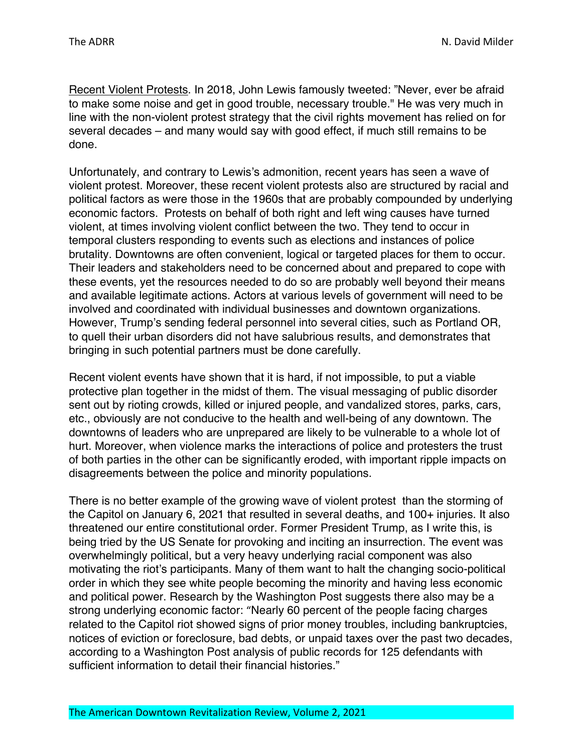Recent Violent Protests. In 2018, John Lewis famously tweeted: "Never, ever be afraid to make some noise and get in good trouble, necessary trouble." He was very much in line with the non-violent protest strategy that the civil rights movement has relied on for several decades – and many would say with good effect, if much still remains to be done.

Unfortunately, and contrary to Lewis's admonition, recent years has seen a wave of violent protest. Moreover, these recent violent protests also are structured by racial and political factors as were those in the 1960s that are probably compounded by underlying economic factors. Protests on behalf of both right and left wing causes have turned violent, at times involving violent conflict between the two. They tend to occur in temporal clusters responding to events such as elections and instances of police brutality. Downtowns are often convenient, logical or targeted places for them to occur. Their leaders and stakeholders need to be concerned about and prepared to cope with these events, yet the resources needed to do so are probably well beyond their means and available legitimate actions. Actors at various levels of government will need to be involved and coordinated with individual businesses and downtown organizations. However, Trump's sending federal personnel into several cities, such as Portland OR, to quell their urban disorders did not have salubrious results, and demonstrates that bringing in such potential partners must be done carefully.

Recent violent events have shown that it is hard, if not impossible, to put a viable protective plan together in the midst of them. The visual messaging of public disorder sent out by rioting crowds, killed or injured people, and vandalized stores, parks, cars, etc., obviously are not conducive to the health and well-being of any downtown. The downtowns of leaders who are unprepared are likely to be vulnerable to a whole lot of hurt. Moreover, when violence marks the interactions of police and protesters the trust of both parties in the other can be significantly eroded, with important ripple impacts on disagreements between the police and minority populations.

There is no better example of the growing wave of violent protest than the storming of the Capitol on January 6, 2021 that resulted in several deaths, and 100+ injuries. It also threatened our entire constitutional order. Former President Trump, as I write this, is being tried by the US Senate for provoking and inciting an insurrection. The event was overwhelmingly political, but a very heavy underlying racial component was also motivating the riot's participants. Many of them want to halt the changing socio-political order in which they see white people becoming the minority and having less economic and political power. Research by the Washington Post suggests there also may be a strong underlying economic factor: "Nearly 60 percent of the people facing charges related to the Capitol riot showed signs of prior money troubles, including bankruptcies, notices of eviction or foreclosure, bad debts, or unpaid taxes over the past two decades, according to a Washington Post analysis of public records for 125 defendants with sufficient information to detail their financial histories."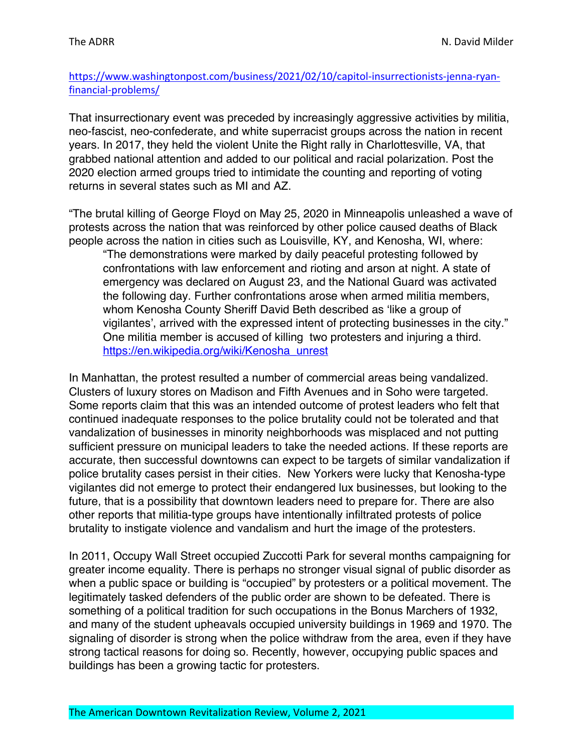## https://www.washingtonpost.com/business/2021/02/10/capitol-insurrectionists-jenna-ryanfinancial-problems/

That insurrectionary event was preceded by increasingly aggressive activities by militia, neo-fascist, neo-confederate, and white superracist groups across the nation in recent years. In 2017, they held the violent Unite the Right rally in Charlottesville, VA, that grabbed national attention and added to our political and racial polarization. Post the 2020 election armed groups tried to intimidate the counting and reporting of voting returns in several states such as MI and AZ.

"The brutal killing of George Floyd on May 25, 2020 in Minneapolis unleashed a wave of protests across the nation that was reinforced by other police caused deaths of Black people across the nation in cities such as Louisville, KY, and Kenosha, WI, where:

"The demonstrations were marked by daily peaceful protesting followed by confrontations with law enforcement and rioting and arson at night. A state of emergency was declared on August 23, and the National Guard was activated the following day. Further confrontations arose when armed militia members, whom Kenosha County Sheriff David Beth described as 'like a group of vigilantes', arrived with the expressed intent of protecting businesses in the city." One militia member is accused of killing two protesters and injuring a third. https://en.wikipedia.org/wiki/Kenosha\_unrest

In Manhattan, the protest resulted a number of commercial areas being vandalized. Clusters of luxury stores on Madison and Fifth Avenues and in Soho were targeted. Some reports claim that this was an intended outcome of protest leaders who felt that continued inadequate responses to the police brutality could not be tolerated and that vandalization of businesses in minority neighborhoods was misplaced and not putting sufficient pressure on municipal leaders to take the needed actions. If these reports are accurate, then successful downtowns can expect to be targets of similar vandalization if police brutality cases persist in their cities. New Yorkers were lucky that Kenosha-type vigilantes did not emerge to protect their endangered lux businesses, but looking to the future, that is a possibility that downtown leaders need to prepare for. There are also other reports that militia-type groups have intentionally infiltrated protests of police brutality to instigate violence and vandalism and hurt the image of the protesters.

In 2011, Occupy Wall Street occupied Zuccotti Park for several months campaigning for greater income equality. There is perhaps no stronger visual signal of public disorder as when a public space or building is "occupied" by protesters or a political movement. The legitimately tasked defenders of the public order are shown to be defeated. There is something of a political tradition for such occupations in the Bonus Marchers of 1932, and many of the student upheavals occupied university buildings in 1969 and 1970. The signaling of disorder is strong when the police withdraw from the area, even if they have strong tactical reasons for doing so. Recently, however, occupying public spaces and buildings has been a growing tactic for protesters.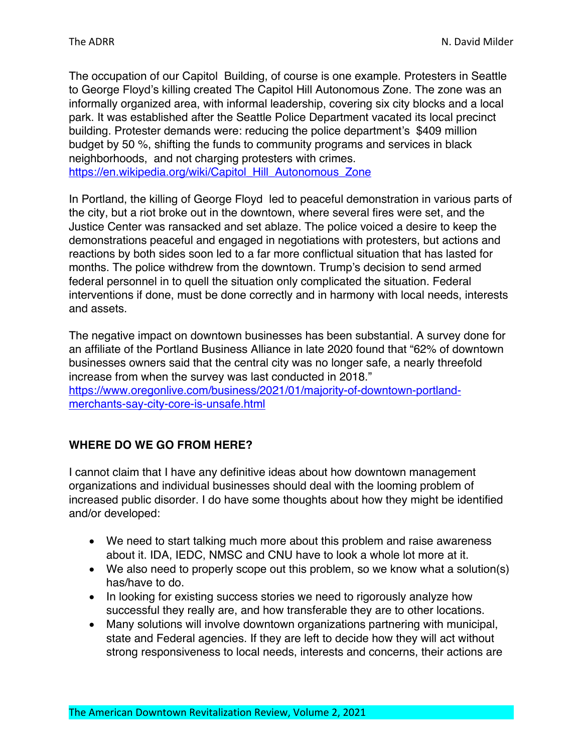The occupation of our Capitol Building, of course is one example. Protesters in Seattle to George Floyd's killing created The Capitol Hill Autonomous Zone. The zone was an informally organized area, with informal leadership, covering six city blocks and a local park. It was established after the Seattle Police Department vacated its local precinct building. Protester demands were: reducing the police department's \$409 million budget by 50 %, shifting the funds to community programs and services in black neighborhoods, and not charging protesters with crimes. https://en.wikipedia.org/wiki/Capitol\_Hill\_Autonomous\_Zone

In Portland, the killing of George Floyd led to peaceful demonstration in various parts of the city, but a riot broke out in the downtown, where several fires were set, and the Justice Center was ransacked and set ablaze. The police voiced a desire to keep the demonstrations peaceful and engaged in negotiations with protesters, but actions and reactions by both sides soon led to a far more conflictual situation that has lasted for months. The police withdrew from the downtown. Trump's decision to send armed federal personnel in to quell the situation only complicated the situation. Federal interventions if done, must be done correctly and in harmony with local needs, interests and assets.

The negative impact on downtown businesses has been substantial. A survey done for an affiliate of the Portland Business Alliance in late 2020 found that "62% of downtown businesses owners said that the central city was no longer safe, a nearly threefold increase from when the survey was last conducted in 2018." https://www.oregonlive.com/business/2021/01/majority-of-downtown-portlandmerchants-say-city-core-is-unsafe.html

# **WHERE DO WE GO FROM HERE?**

I cannot claim that I have any definitive ideas about how downtown management organizations and individual businesses should deal with the looming problem of increased public disorder. I do have some thoughts about how they might be identified and/or developed:

- We need to start talking much more about this problem and raise awareness about it. IDA, IEDC, NMSC and CNU have to look a whole lot more at it.
- We also need to properly scope out this problem, so we know what a solution(s) has/have to do.
- In looking for existing success stories we need to rigorously analyze how successful they really are, and how transferable they are to other locations.
- Many solutions will involve downtown organizations partnering with municipal, state and Federal agencies. If they are left to decide how they will act without strong responsiveness to local needs, interests and concerns, their actions are